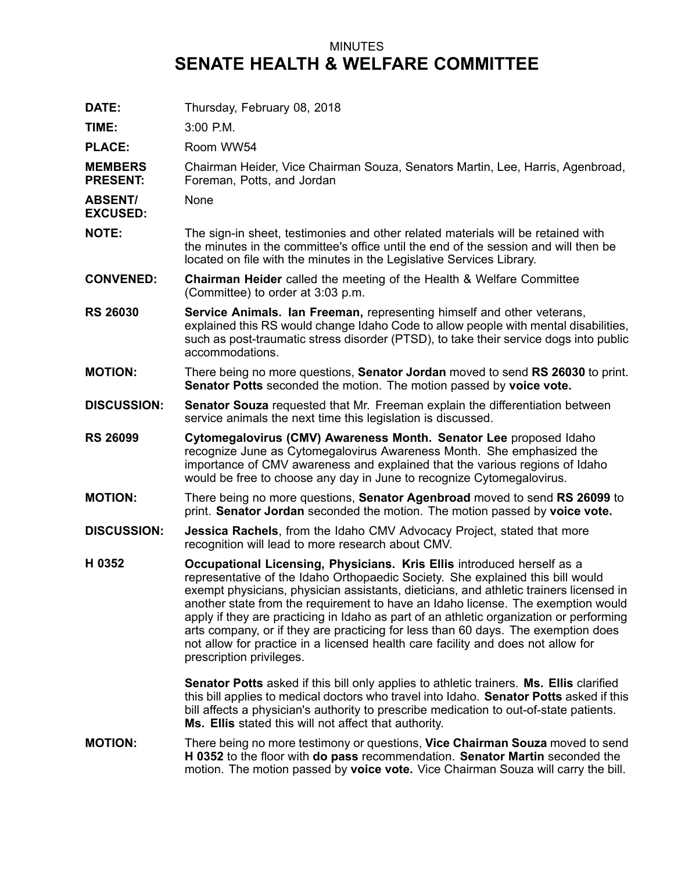## MINUTES **SENATE HEALTH & WELFARE COMMITTEE**

| DATE:                             | Thursday, February 08, 2018                                                                                                                                                                                                                                                                                                                                                                                                                                                                                                                                                                                                            |
|-----------------------------------|----------------------------------------------------------------------------------------------------------------------------------------------------------------------------------------------------------------------------------------------------------------------------------------------------------------------------------------------------------------------------------------------------------------------------------------------------------------------------------------------------------------------------------------------------------------------------------------------------------------------------------------|
| TIME:                             | 3:00 P.M.                                                                                                                                                                                                                                                                                                                                                                                                                                                                                                                                                                                                                              |
| <b>PLACE:</b>                     | Room WW54                                                                                                                                                                                                                                                                                                                                                                                                                                                                                                                                                                                                                              |
| <b>MEMBERS</b><br><b>PRESENT:</b> | Chairman Heider, Vice Chairman Souza, Senators Martin, Lee, Harris, Agenbroad,<br>Foreman, Potts, and Jordan                                                                                                                                                                                                                                                                                                                                                                                                                                                                                                                           |
| <b>ABSENT/</b><br><b>EXCUSED:</b> | None                                                                                                                                                                                                                                                                                                                                                                                                                                                                                                                                                                                                                                   |
| <b>NOTE:</b>                      | The sign-in sheet, testimonies and other related materials will be retained with<br>the minutes in the committee's office until the end of the session and will then be<br>located on file with the minutes in the Legislative Services Library.                                                                                                                                                                                                                                                                                                                                                                                       |
| <b>CONVENED:</b>                  | <b>Chairman Heider</b> called the meeting of the Health & Welfare Committee<br>(Committee) to order at 3:03 p.m.                                                                                                                                                                                                                                                                                                                                                                                                                                                                                                                       |
| <b>RS 26030</b>                   | Service Animals. Ian Freeman, representing himself and other veterans,<br>explained this RS would change Idaho Code to allow people with mental disabilities,<br>such as post-traumatic stress disorder (PTSD), to take their service dogs into public<br>accommodations.                                                                                                                                                                                                                                                                                                                                                              |
| <b>MOTION:</b>                    | There being no more questions, Senator Jordan moved to send RS 26030 to print.<br>Senator Potts seconded the motion. The motion passed by voice vote.                                                                                                                                                                                                                                                                                                                                                                                                                                                                                  |
| <b>DISCUSSION:</b>                | <b>Senator Souza</b> requested that Mr. Freeman explain the differentiation between<br>service animals the next time this legislation is discussed.                                                                                                                                                                                                                                                                                                                                                                                                                                                                                    |
| <b>RS 26099</b>                   | Cytomegalovirus (CMV) Awareness Month. Senator Lee proposed Idaho<br>recognize June as Cytomegalovirus Awareness Month. She emphasized the<br>importance of CMV awareness and explained that the various regions of Idaho<br>would be free to choose any day in June to recognize Cytomegalovirus.                                                                                                                                                                                                                                                                                                                                     |
| <b>MOTION:</b>                    | There being no more questions, Senator Agenbroad moved to send RS 26099 to<br>print. Senator Jordan seconded the motion. The motion passed by voice vote.                                                                                                                                                                                                                                                                                                                                                                                                                                                                              |
| <b>DISCUSSION:</b>                | <b>Jessica Rachels, from the Idaho CMV Advocacy Project, stated that more</b><br>recognition will lead to more research about CMV.                                                                                                                                                                                                                                                                                                                                                                                                                                                                                                     |
| H 0352                            | Occupational Licensing, Physicians. Kris Ellis introduced herself as a<br>representative of the Idaho Orthopaedic Society. She explained this bill would<br>exempt physicians, physician assistants, dieticians, and athletic trainers licensed in<br>another state from the requirement to have an Idaho license. The exemption would<br>apply if they are practicing in Idaho as part of an athletic organization or performing<br>arts company, or if they are practicing for less than 60 days. The exemption does<br>not allow for practice in a licensed health care facility and does not allow for<br>prescription privileges. |
|                                   | <b>Senator Potts</b> asked if this bill only applies to athletic trainers. Ms. Ellis clarified<br>this bill applies to medical doctors who travel into Idaho. Senator Potts asked if this<br>bill affects a physician's authority to prescribe medication to out-of-state patients.<br>Ms. Ellis stated this will not affect that authority.                                                                                                                                                                                                                                                                                           |
| <b>MOTION:</b>                    | There being no more testimony or questions, Vice Chairman Souza moved to send<br>H 0352 to the floor with do pass recommendation. Senator Martin seconded the<br>motion. The motion passed by voice vote. Vice Chairman Souza will carry the bill.                                                                                                                                                                                                                                                                                                                                                                                     |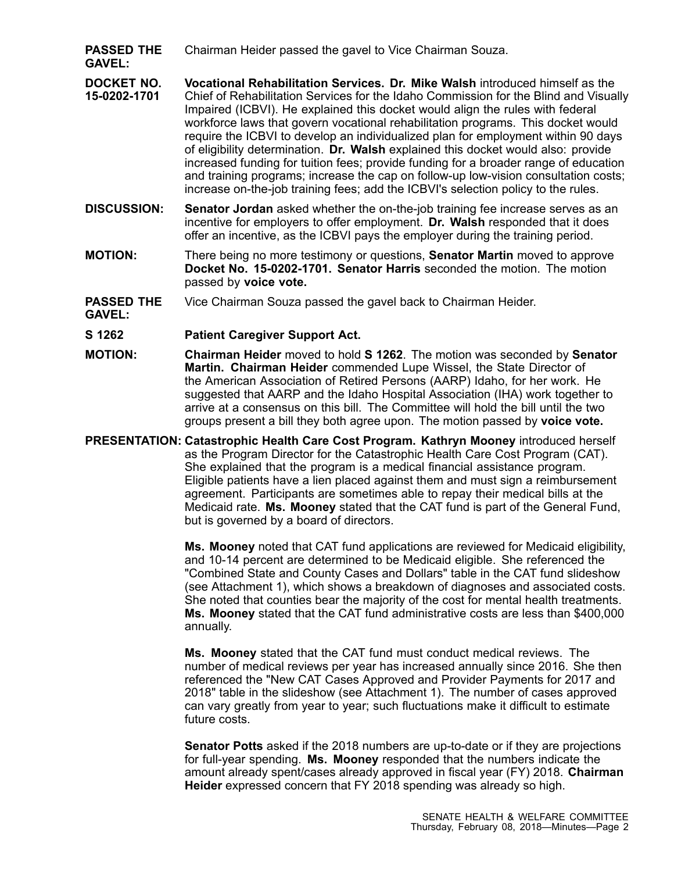- **PASSED THE GAVEL:** Chairman Heider passed the gavel to Vice Chairman Souza.
- **DOCKET NO. 15-0202-1701 Vocational Rehabilitation Services. Dr. Mike Walsh** introduced himself as the Chief of Rehabilitation Services for the Idaho Commission for the Blind and Visually Impaired (ICBVI). He explained this docket would align the rules with federal workforce laws that govern vocational rehabilitation programs. This docket would require the ICBVI to develop an individualized plan for employment within 90 days of eligibility determination. **Dr. Walsh** explained this docket would also: provide increased funding for tuition fees; provide funding for <sup>a</sup> broader range of education and training programs; increase the cap on follow-up low-vision consultation costs; increase on-the-job training fees; add the ICBVI's selection policy to the rules.
- **DISCUSSION: Senator Jordan** asked whether the on-the-job training fee increase serves as an incentive for employers to offer employment. **Dr. Walsh** responded that it does offer an incentive, as the ICBVI pays the employer during the training period.
- **MOTION:** There being no more testimony or questions, **Senator Martin** moved to approve **Docket No. 15-0202-1701. Senator Harris** seconded the motion. The motion passed by **voice vote.**
- **PASSED THE** Vice Chairman Souza passed the gavel back to Chairman Heider.

**GAVEL:**

## **S 1262 Patient Caregiver Support Act.**

- **MOTION: Chairman Heider** moved to hold **S 1262**. The motion was seconded by **Senator Martin. Chairman Heider** commended Lupe Wissel, the State Director of the American Association of Retired Persons (AARP) Idaho, for her work. He suggested that AARP and the Idaho Hospital Association (IHA) work together to arrive at a consensus on this bill. The Committee will hold the bill until the two groups present <sup>a</sup> bill they both agree upon. The motion passed by **voice vote.**
- **PRESENTATION: Catastrophic Health Care Cost Program. Kathryn Mooney** introduced herself as the Program Director for the Catastrophic Health Care Cost Program (CAT). She explained that the program is <sup>a</sup> medical financial assistance program. Eligible patients have <sup>a</sup> lien placed against them and must sign <sup>a</sup> reimbursement agreement. Participants are sometimes able to repay their medical bills at the Medicaid rate. **Ms. Mooney** stated that the CAT fund is part of the General Fund, but is governed by <sup>a</sup> board of directors.

**Ms. Mooney** noted that CAT fund applications are reviewed for Medicaid eligibility, and 10-14 percent are determined to be Medicaid eligible. She referenced the "Combined State and County Cases and Dollars" table in the CAT fund slideshow (see Attachment 1), which shows <sup>a</sup> breakdown of diagnoses and associated costs. She noted that counties bear the majority of the cost for mental health treatments. **Ms. Mooney** stated that the CAT fund administrative costs are less than \$400,000 annually.

**Ms. Mooney** stated that the CAT fund must conduct medical reviews. The number of medical reviews per year has increased annually since 2016. She then referenced the "New CAT Cases Approved and Provider Payments for 2017 and 2018" table in the slideshow (see Attachment 1). The number of cases approved can vary greatly from year to year; such fluctuations make it difficult to estimate future costs.

**Senator Potts** asked if the 2018 numbers are up-to-date or if they are projections for full-year spending. **Ms. Mooney** responded that the numbers indicate the amount already spent/cases already approved in fiscal year (FY) 2018. **Chairman Heider** expressed concern that FY 2018 spending was already so high.